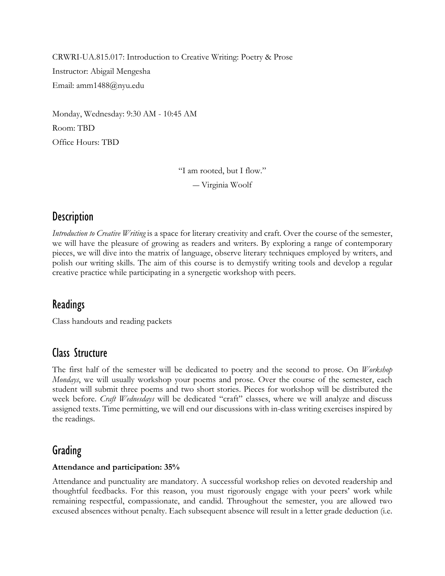CRWRI-UA.815.017: Introduction to Creative Writing: Poetry & Prose Instructor: Abigail Mengesha Email: amm1488@nyu.edu

Monday, Wednesday: 9:30 AM - 10:45 AM Room: TBD Office Hours: TBD

> "I am rooted, but I flow." ― Virginia Woolf

## **Description**

*Introduction to Creative Writing* is a space for literary creativity and craft. Over the course of the semester, we will have the pleasure of growing as readers and writers. By exploring a range of contemporary pieces, we will dive into the matrix of language, observe literary techniques employed by writers, and polish our writing skills. The aim of this course is to demystify writing tools and develop a regular creative practice while participating in a synergetic workshop with peers.

### Readings

Class handouts and reading packets

### Class Structure

The first half of the semester will be dedicated to poetry and the second to prose. On *Workshop Mondays*, we will usually workshop your poems and prose. Over the course of the semester, each student will submit three poems and two short stories. Pieces for workshop will be distributed the week before. *Craft Wednesdays* will be dedicated "craft" classes, where we will analyze and discuss assigned texts. Time permitting, we will end our discussions with in-class writing exercises inspired by the readings.

### Grading

#### **Attendance and participation: 35%**

Attendance and punctuality are mandatory. A successful workshop relies on devoted readership and thoughtful feedbacks. For this reason, you must rigorously engage with your peers' work while remaining respectful, compassionate, and candid. Throughout the semester, you are allowed two excused absences without penalty. Each subsequent absence will result in a letter grade deduction (i.e.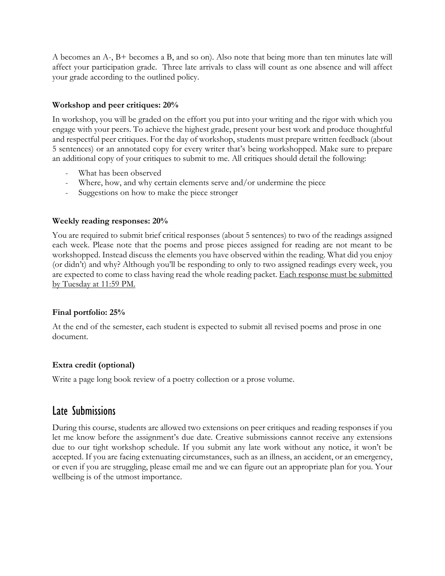A becomes an A-, B+ becomes a B, and so on). Also note that being more than ten minutes late will affect your participation grade. Three late arrivals to class will count as one absence and will affect your grade according to the outlined policy.

#### **Workshop and peer critiques: 20%**

In workshop, you will be graded on the effort you put into your writing and the rigor with which you engage with your peers. To achieve the highest grade, present your best work and produce thoughtful and respectful peer critiques. For the day of workshop, students must prepare written feedback (about 5 sentences) or an annotated copy for every writer that's being workshopped. Make sure to prepare an additional copy of your critiques to submit to me. All critiques should detail the following:

- What has been observed
- Where, how, and why certain elements serve and/or undermine the piece
- Suggestions on how to make the piece stronger

#### **Weekly reading responses: 20%**

You are required to submit brief critical responses (about 5 sentences) to two of the readings assigned each week. Please note that the poems and prose pieces assigned for reading are not meant to be workshopped. Instead discuss the elements you have observed within the reading. What did you enjoy (or didn't) and why? Although you'll be responding to only to two assigned readings every week, you are expected to come to class having read the whole reading packet. Each response must be submitted by Tuesday at 11:59 PM.

#### **Final portfolio: 25%**

At the end of the semester, each student is expected to submit all revised poems and prose in one document.

#### **Extra credit (optional)**

Write a page long book review of a poetry collection or a prose volume.

### Late Submissions

During this course, students are allowed two extensions on peer critiques and reading responses if you let me know before the assignment's due date. Creative submissions cannot receive any extensions due to our tight workshop schedule. If you submit any late work without any notice, it won't be accepted. If you are facing extenuating circumstances, such as an illness, an accident, or an emergency, or even if you are struggling, please email me and we can figure out an appropriate plan for you. Your wellbeing is of the utmost importance.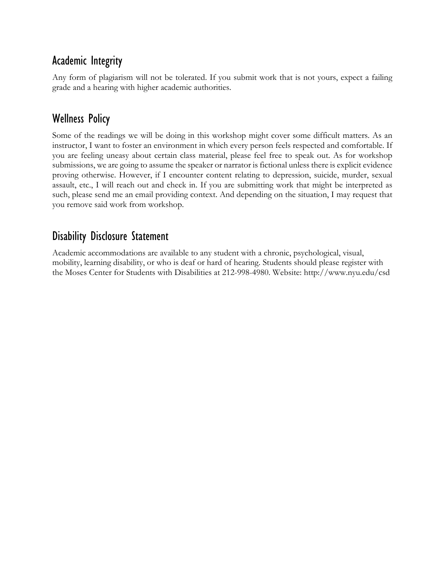## Academic Integrity

Any form of plagiarism will not be tolerated. If you submit work that is not yours, expect a failing grade and a hearing with higher academic authorities.

### Wellness Policy

Some of the readings we will be doing in this workshop might cover some difficult matters. As an instructor, I want to foster an environment in which every person feels respected and comfortable. If you are feeling uneasy about certain class material, please feel free to speak out. As for workshop submissions, we are going to assume the speaker or narrator is fictional unless there is explicit evidence proving otherwise. However, if I encounter content relating to depression, suicide, murder, sexual assault, etc., I will reach out and check in. If you are submitting work that might be interpreted as such, please send me an email providing context. And depending on the situation, I may request that you remove said work from workshop.

## Disability Disclosure Statement

Academic accommodations are available to any student with a chronic, psychological, visual, mobility, learning disability, or who is deaf or hard of hearing. Students should please register with the Moses Center for Students with Disabilities at 212-998-4980. Website: http://www.nyu.edu/csd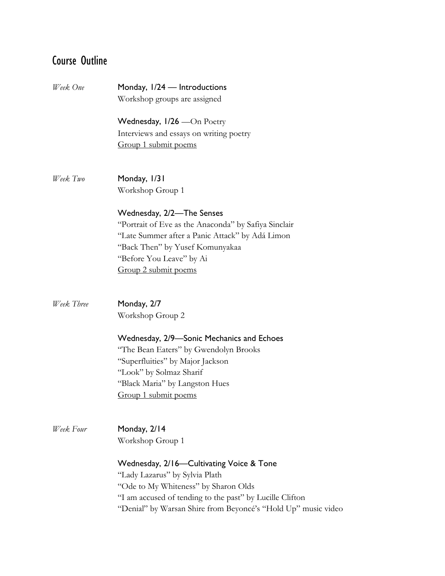# Course Outline

| Week One   | Monday, 1/24 — Introductions<br>Workshop groups are assigned  |
|------------|---------------------------------------------------------------|
|            | Wednesday, $1/26$ — $On$ Poetry                               |
|            | Interviews and essays on writing poetry                       |
|            | Group 1 submit poems                                          |
| Week Two   | Monday, 1/31                                                  |
|            | Workshop Group 1                                              |
|            | Wednesday, 2/2-The Senses                                     |
|            | "Portrait of Eve as the Anaconda" by Safiya Sinclair          |
|            | "Late Summer after a Panic Attack" by Adá Limon               |
|            | "Back Then" by Yusef Komunyakaa                               |
|            | "Before You Leave" by Ai                                      |
|            | Group 2 submit poems                                          |
| Week Three | Monday, 2/7                                                   |
|            | Workshop Group 2                                              |
|            | Wednesday, 2/9—Sonic Mechanics and Echoes                     |
|            | "The Bean Eaters" by Gwendolyn Brooks                         |
|            | "Superfluities" by Major Jackson                              |
|            | "Look" by Solmaz Sharif                                       |
|            | "Black Maria" by Langston Hues                                |
|            | Group 1 submit poems                                          |
| Week Four  | Monday, 2/14                                                  |
|            | Workshop Group 1                                              |
|            | Wednesday, 2/16—Cultivating Voice & Tone                      |
|            | "Lady Lazarus" by Sylvia Plath                                |
|            | "Ode to My Whiteness" by Sharon Olds                          |
|            | "I am accused of tending to the past" by Lucille Clifton      |
|            | "Denial" by Warsan Shire from Beyoncé's "Hold Up" music video |
|            |                                                               |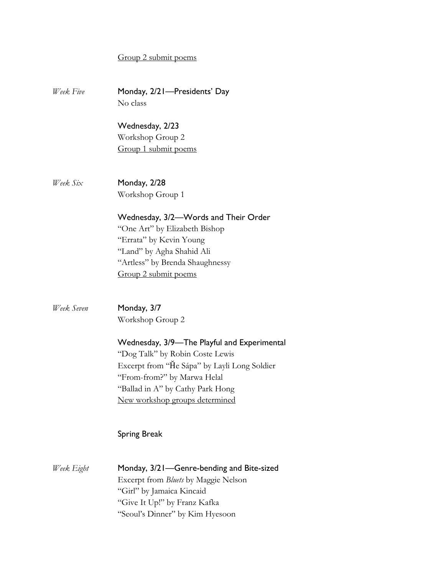#### Group 2 submit poems

*Week Five* Monday, 2/21—Presidents' Day No class Wednesday, 2/23 Workshop Group 2 Group 1 submit poems *Week Six* Monday, 2/28 Workshop Group 1 Wednesday, 3/2—Words and Their Order "One Art" by Elizabeth Bishop "Errata" by Kevin Young "Land" by Agha Shahid Ali "Artless" by Brenda Shaughnessy Group 2 submit poems *Week Seven* Monday, 3/7 Workshop Group 2 Wednesday, 3/9—The Playful and Experimental "Dog Talk" by Robin Coste Lewis Excerpt from "He Sápa" by Layli Long Soldier "From-from?" by Marwa Helal "Ballad in A" by Cathy Park Hong New workshop groups determined Spring Break *Week Eight* Monday, 3/21—Genre-bending and Bite-sized Excerpt from *Bluets* by Maggie Nelson "Girl" by Jamaica Kincaid "Give It Up!" by Franz Kafka "Seoul's Dinner" by Kim Hyesoon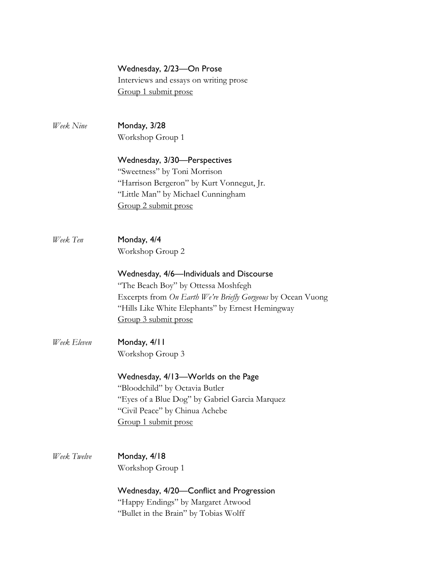|             | Wednesday, 2/23-On Prose<br>Interviews and essays on writing prose<br>Group 1 submit prose                                                                                                                                  |
|-------------|-----------------------------------------------------------------------------------------------------------------------------------------------------------------------------------------------------------------------------|
| Week Nine   | Monday, 3/28<br>Workshop Group 1                                                                                                                                                                                            |
|             | Wednesday, 3/30-Perspectives<br>"Sweetness" by Toni Morrison<br>"Harrison Bergeron" by Kurt Vonnegut, Jr.<br>"Little Man" by Michael Cunningham<br>Group 2 submit prose                                                     |
| Week Ten    | Monday, 4/4<br>Workshop Group 2                                                                                                                                                                                             |
|             | Wednesday, 4/6—Individuals and Discourse<br>"The Beach Boy" by Ottessa Moshfegh<br>Excerpts from On Earth We're Briefly Gorgeous by Ocean Vuong<br>"Hills Like White Elephants" by Ernest Hemingway<br>Group 3 submit prose |
| Week Eleven | Monday, 4/11<br>Workshop Group 3                                                                                                                                                                                            |
|             | Wednesday, 4/13-Worlds on the Page<br>"Bloodchild" by Octavia Butler<br>"Eyes of a Blue Dog" by Gabriel Garcia Marquez<br>"Civil Peace" by Chinua Achebe<br>Group 1 submit prose                                            |
| Week Twelve | Monday, 4/18<br>Workshop Group 1                                                                                                                                                                                            |
|             | Wednesday, 4/20—Conflict and Progression<br>"Happy Endings" by Margaret Atwood<br>"Bullet in the Brain" by Tobias Wolff                                                                                                     |